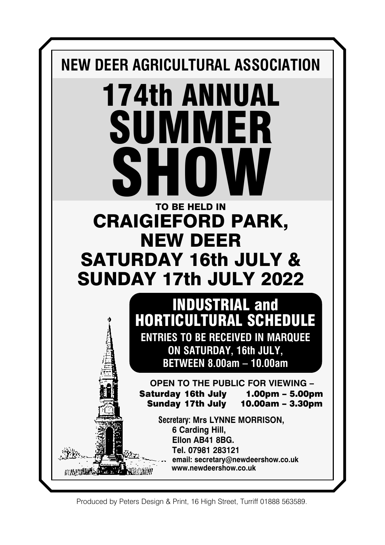

Produced by Peters Design & Print, 16 High Street, Turriff 01888 563589.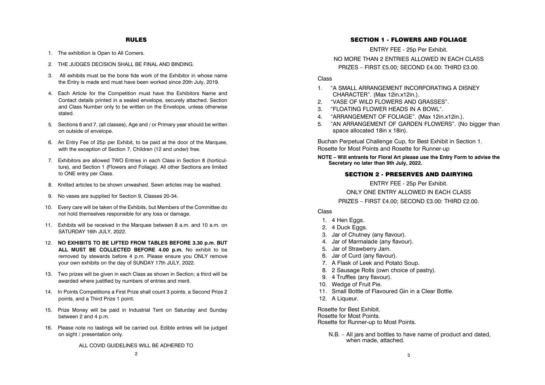## RULES

- 1. The exhibition is Open to All Comers.
- 2. THE JUDGES DECISION SHALL BE FINAL AND BINDING.
- 3. All exhibits must be the bone fide work of the Exhibitor in whose name the Entry is made and must have been worked since 20th July, 2019.
- 4. Each Article for the Competition must have the Exhibitors Name and Contact details printed in a sealed envelope, securely attached. Section and Class Number only to be written on the Envelope, unless otherwise stated.
- 5. Sections 6 and 7, (all classes), Age and / or Primary year should be written on outside of envelope.
- 6. An Entry Fee of 25p per Exhibit, to be paid at the door of the Marquee, with the exception of Section 7, Children (12 and under) free.
- 7. Exhibitors are allowed TWO Entries in each Class in Section 8 (horticul ture), and Section 1 (Flowers and Foliage). All other Sections are limited to ONE entry per Class.
- 8. Knitted articles to be shown unwashed. Sewn articles may be washed.
- 9. No vases are supplied for Section 9, Classes 20-34.
- 10. Every care will be taken of the Exhibits, but Members of the Committee do not hold themselves responsible for any loss or damage.
- 11. Exhibits will be received in the Marquee between 8 a.m. and 10 a.m. on SATURDAY 16th JULY, 2022.
- 12. **NO EXHIBITS TO BE LIFTED FROM TABLES BEFORE 3.30 p.m. BUT ALL MUST BE COLLECTED BEFORE 4.00 p.m.** No exhibit to be removed by stewards before 4 p.m. Please ensure you ONLY remove your own exhibits on the day of SUNDAY 17th JULY, 2022.
- 13. Two prizes will be given in each Class as shown in Section; a third will be awarded where justified by numbers of entries and merit.
- 14. In Points Competitions a First Prize shall count 3 points, a Second Prize 2 points, and a Third Prize 1 point.
- 15. Prize Money will be paid in Industrial Tent on Saturday and Sunday between 2 and 4 p.m.
- 16. Please note no tastings will be carried out. Edible entries will be judged on sight / presentation only.
	- ALL COVID GUIDELINES WILL BE ADHERED TO

### SECTION 1 - FLOWERS AND FOLIAGE

ENTRY FEE - 25p Per Exhibit.

NO MORE THAN 2 ENTRIES ALLOWED IN EACH CLASS PRIZES – FIRST £5.00; SECOND £4.00: THIRD £3.00.

# Class

- 1. "A SMALL ARRANGEMENT INCORPORATING A DISNEY CHARACTER". (Max 12in.x12in.).
- 2. "VASE OF WILD FLOWERS AND GRASSES".
- 3. "FLOATING FLOWER HEADS IN A BOWL".
- 4. "ARRANGEMENT OF FOLIAGE". (Max 12in.x12in.).
- 5. "AN ARRANGEMENT OF GARDEN FLOWERS". (No bigger than space allocated 18in x 18in).

Buchan Perpetual Challenge Cup, for Best Exhibit in Section 1. Rosette for Most Points and Rosette for Runner-up

**NOTE – Will entrants for Floral Art please use the Entry Form to advise the Secretary no later than 9th July, 2022.**

## SECTION 2 - PRESERVES AND DAIRYING

ENTRY FEE - 25p Per Exhibit. ONLY ONE ENTRY ALLOWED IN FACH CLASS PRIZES – FIRST £4.00; SECOND £3.00: THIRD £2.00.

### Class

- 1. 4 Hen Eggs.
- 2. 4 Duck Eggs.
- 3. Jar of Chutney (any flavour).
- 4. Jar of Marmalade (any flavour).
- 5. Jar of Strawberry Jam.
- 6. Jar of Curd (any flavour).
- 7. A Flask of Leek and Potato Soup.
- 8. 2 Sausage Rolls (own choice of pastry).
- 9. 4 Truffles (any flavour).
- 10. Wedge of Fruit Pie.
- 11. Small Bottle of Flavoured Gin in a Clear Bottle.
- 12. A Liqueur.

Rosette for Best Exhibit. Rosette for Most Points. Rosette for Runner-up to Most Points.

> N.B. – All jars and bottles to have name of product and dated, when made, attached.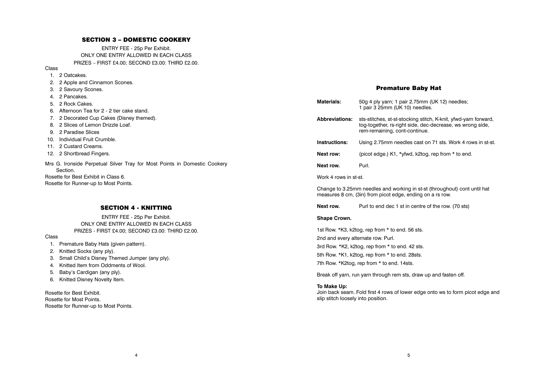## SECTION 3 – DOMESTIC COOKERY

ENTRY FEE - 25p Per Exhibit. ONLY ONE ENTRY ALLOWED IN EACH CLASS PRIZES – FIRST £4.00; SECOND £3.00: THIRD £2.00.

Class

- 1. 2 Oatcakes.
- 2. 2 Apple and Cinnamon Scones.
- 3. 2 Savoury Scones.
- 4. 2 Pancakes.
- 5. 2 Rock Cakes.
- 6. Afternoon Tea for 2 2 tier cake stand.
- 7. 2 Decorated Cup Cakes (Disney themed).
- 8. 2 Slices of Lemon Drizzle Loaf.
- 9. 2 Paradise Slices
- 10. Individual Fruit Crumble.
- 11. 2 Custard Creams.
- 12. 2 Shortbread Fingers.
- Mrs G. Ironside Perpetual Silver Tray for Most Points in Domestic Cookery Section.

Rosette for Best Exhibit in Class 6. Rosette for Runner-up to Most Points.

# SECTION 4 - KNITTING

ENTRY FEE - 25p Per Exhibit. ONLY ONE ENTRY ALLOWED IN EACH CLASS PRIZES - FIRST £4.00; SECOND £3.00: THIRD £2.00.

4

#### Class

- 1. Premature Baby Hats (given pattern).
- 2. Knitted Socks (any ply).
- 3. Small Child's Disney Themed Jumper (any ply).
- 4. Knitted Item from Oddments of Wool.
- 5. Baby's Cardigan (any ply).
- 6. Knitted Disney Novelty Item.

Rosette for Best Exhibit. Rosette for Most Points. Rosette for Runner-up to Most Points.

# Premature Baby Hat

| Materials:                                                                                                                             | 50g 4 ply yarn; 1 pair 2.75mm (UK 12) needles;<br>1 pair 3 25mm (UK 10) needles.                                                                              |  |  |  |
|----------------------------------------------------------------------------------------------------------------------------------------|---------------------------------------------------------------------------------------------------------------------------------------------------------------|--|--|--|
| <b>Abbreviations:</b>                                                                                                                  | sts-stitches, st-st-stocking stitch, K-knit, yfwd-yarn forward,<br>tog-together, rs-right side, dec-decrease, ws wrong side,<br>rem-remaining, cont-continue. |  |  |  |
| Instructions:                                                                                                                          | Using 2.75mm needles cast on 71 sts. Work 4 rows in st-st.                                                                                                    |  |  |  |
| Next row:                                                                                                                              | (picot edge.) K1, *yfwd, k2tog, rep from * to end.                                                                                                            |  |  |  |
| Next row.                                                                                                                              | Purl.                                                                                                                                                         |  |  |  |
| Work 4 rows in st-st.                                                                                                                  |                                                                                                                                                               |  |  |  |
| Change to 3.25mm needles and working in st-st (throughout) cont until hat<br>measures 8 cm, (3in) from picot edge, ending on a rs row. |                                                                                                                                                               |  |  |  |
| Next row.                                                                                                                              | Purl to end dec 1 st in centre of the row. (70 sts)                                                                                                           |  |  |  |
| Shape Crown.                                                                                                                           |                                                                                                                                                               |  |  |  |

1st Row. \*K3, k2tog, rep from \* to end. 56 sts. 2nd and every alternate row. Purl. 3rd Row. \*K2, k2tog, rep from \* to end. 42 sts. 5th Row. \*K1, k2tog, rep from \* to end. 28sts. 7th Row. \*K2tog, rep from \* to end. 14sts.

Break off yarn, run yarn through rem sts, draw up and fasten off.

#### **To Make Up:**

Join back seam. Fold first 4 rows of lower edge onto ws to form picot edge and slip stitch loosely into position.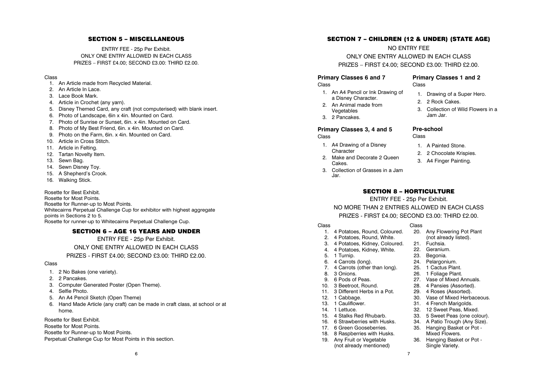# SECTION 5 – MISCELLANEOUS

ENTRY FEE - 25p Per Exhibit. ONLY ONE ENTRY ALLOWED IN FACH CLASS PRIZES – FIRST £4.00; SECOND £3.00: THIRD £2.00.

## Class

- 1. An Article made from Recycled Material.
- 2. An Article In Lace.
- 3. Lace Book Mark.
- 4. Article in Crochet (any yarn).
- 5. Disney Themed Card, any craft (not computerised) with blank insert.
- 6. Photo of Landscape, 6in x 4in. Mounted on Card.
- 7. Photo of Sunrise or Sunset, 6in. x 4in. Mounted on Card.
- 8. Photo of My Best Friend, 6in. x 4in. Mounted on Card.
- 9. Photo on the Farm, 6in. x 4in. Mounted on Card.
- 10. Article in Cross Stitch.
- 11. Article in Felting.
- 12. Tartan Novelty Item.
- 13. Sewn Bag.
- 14. Sewn Disney Toy.
- 15. A Shepherd's Crook.
- 16. Walking Stick.

Rosette for Best Exhibit .

Rosette for Most Points. Rosette for Runner-up to Most Points . Whitecairns Perpetual Challenge Cup for exhibitor with highest aggregate points in Sections 2 to 5. Rosette for runner-up to Whitecairns Perpetual Challenge Cup.

# SECTION 6 – AGE 16 YEARS AND UNDER

ENTRY FEE - 25p Per Exhibit.

ONLY ONE ENTRY ALLOWED IN EACH CLASS

# PRIZES - FIRST £4.00; SECOND £3.00: THIRD £2.00.

#### Class

- 1. 2 No Bakes (one variety).
- 2. 2 Pancakes.
- 3. Computer Generated Poster (Open Theme).
- 4. Selfie Photo.
- 5. An A4 Pencil Sketch (Open Theme)
- 6. Hand Made Article (any craft) can be made in craft class, at school or at home.

Rosette for Best Exhibit .

Rosette for Most Points .

Rosette for Runner-up to Most Points .

Perpetual Challenge Cup for Most Points in this section.

# SECTION 7 – CHILDREN (12 & UNDER) (STATE AGE)

NO ENTRY FEE ONLY ONE ENTRY ALLOWED IN EACH CLASS PRIZES – FIRST £4.00; SECOND £3.00: THIRD £2.00.

## **Primary Classes 6 and 7**

Class

- 1. An A4 Pencil or Ink Drawing of a Disney Character.
- 2. An Animal made from Vegetables
- 3. 2 Pancakes.

# **Primary Classes 3, 4 and 5**

Class

- 1. A4 Drawing of a Disney **Character**
- 2. Make and Decorate 2 Queen Cakes.
- 3. Collection of Grasses in a Jam Jar.

# **Primary Classes 1 and 2** Class

- 1. Drawing of a Super Hero.
- 2. 2 Rock Cakes.
- 3. Collection of Wild Flowers in a Jam Jar.

# **Pre-school**

Class

- 1. A Painted Stone.
- 2. 2 Chocolate Krispies.
- 3. A4 Finger Painting.

# SECTION 8 – HORTICULTURE

ENTRY FEE - 25p Per Exhibit.

NO MORE THAN 2 ENTRIES ALLOWED IN EACH CLASS PRIZES - FIRST £4.00; SECOND £3.00: THIRD £2.00.

#### Class

- 1. 4 Potatoes, Round, Coloured.
- 2. 4 Potatoes, Round, White.
- 3. 4 Potatoes, Kidney, Coloured.
- 4. 4 Potatoes, Kidney, White.
- 5. 1 Turnip.
- 6. 4 Carrots (long).
- 7. 4 Carrots (other than long).<br>8. 3 Onions 8. 3 Onions.
- 
- 9. 6 Pods of Peas.<br>10 3 Beetroot Bour 3 Beetroot, Round.
- 11. 3 Different Herbs in a Pot.
- 12. 1 Cabbage.
- 13. 1 Cauliflower.
- 14. 1 Lettuce.
- 15. 4 Stalks Red Rhubarb.
- 16. 6 Strawberries with Husks.
- 17. 6 Green Gooseberries.
- 18. 8 Raspberries with Husks.
- 19. Any Fruit or Vegetable (not already mentioned)
- Class 20. Any Flowering Pot Plant (not already listed).
	- 21. Fuchsia.
		- 22. Geranium.
	- 23. Begonia.
		- 24. Pelargonium.
		- 25. 1 Cactus Plant.
		- 26. 1 Foliage Plant.
		- 27. Vase of Mixed Annuals.<br>28 4 Pansies (Assorted)
		- 4 Pansies (Assorted).
		- 29. 4 Roses (Assorted).
		- 30. Vase of Mixed Herbaceous.
		- 31. 4 French Marigolds.
		- 32. 12 Sweet Peas, Mixed.
		- 33. 5 Sweet Peas (one colour). 34. A Patio Trough (Any Size).
		- 35. Hanging Basket or Pot -
		- Mixed Flowers.
		- 36. Hanging Basket or Pot Single Variety.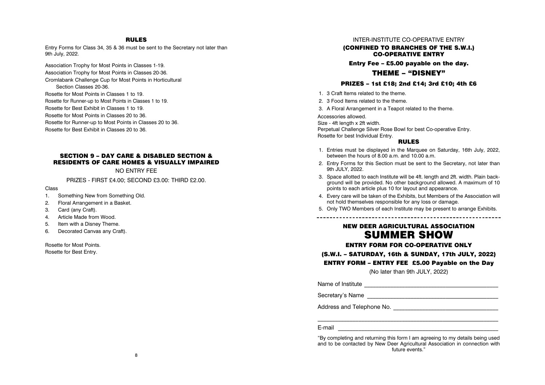## RULES

Entry Forms for Class 34, 35 & 36 must be sent to the Secretary not later than 9th July, 2022.

Association Trophy for Most Points in Classes 1-19. Association Trophy for Most Points in Classes 20-36. Cromlabank Challenge Cup for Most Points in Horticultural Section Classes 20-36. Rosette for Most Points in Classes 1 to 19. Rosette for Runner-up to Most Points in Classes 1 to 19. Rosette for Best Exhibit in Classes 1 to 19. Rosette for Most Points in Classes 20 to 36. Rosette for Runner-up to Most Points in Classes 20 to 36. Rosette for Best Exhibit in Classes 20 to 36.

# SECTION 9 – DAY CARE & DISABLED SECTION & RESIDENTS OF CARE HOMES & VISUALLY IMPAIRED

#### NO ENTRY FEE

PRIZES - FIRST £4.00; SECOND £3.00: THIRD £2.00.

Class

- 1. Something New from Something Old.
- 2. Floral Arrangement in a Basket.
- 3. Card (any Craft).
- 4. Article Made from Wood.
- 5. Item with a Disney Theme.
- 6. Decorated Canvas any Craft).

Rosette for Most Points. Rosette for Best Entry.

## INTER-INSTITUTE CO-OPERATIVE ENTRY

(CONFINED TO BRANCHES OF THE S.W.I.) CO-OPERATIVE ENTRY

Entry Fee – £5.00 payable on the day.

# THEME – "DISNEY"

#### PRIZES – 1st £18; 2nd £14; 3rd £10; 4th £6

- 1. 3 Craft Items related to the theme.
- 2. 3 Food Items related to the theme.
- 3. A Floral Arrangement in a Teapot related to the theme.

Accessories allowed.

Size - 4ft length x 2ft width.

Perpetual Challenge Silver Rose Bowl for best Co-operative Entry. Rosette for best Individual Entry.

### RULES

- 1. Entries must be displayed in the Marquee on Saturday, 16th July, 2022, between the hours of 8.00 a.m. and 10.00 a.m.
- 2. Entry Forms for this Section must be sent to the Secretary, not later than 9th JULY, 2022.
- 3. Space allotted to each Institute will be 4ft. length and 2ft. width. Plain background will be provided. No other background allowed. A maximum of 10 points to each article plus 10 for layout and appearance.
- 4. Every care will be taken of the Exhibits, but Members of the Association will not hold themselves responsible for any loss or damage.
- 5. Only TWO Members of each Institute may be present to arrange Exhibits.

# NEW DEER AGRICULTURAL ASSOCIATION SUMMER SHOW

#### ENTRY FORM FOR CO-OPERATIVE ONLY

## (S.W.I. – SATURDAY, 16th & SUNDAY, 17th JULY, 2022)

### ENTRY FORM – ENTRY FEE £5.00 Payable on the Day

(No later than 9th JULY, 2022)

Name of Institute \_\_\_\_\_\_\_\_\_\_\_\_\_\_\_\_\_\_\_\_\_\_\_\_\_\_\_\_\_\_\_\_\_\_\_\_\_\_\_\_\_\_\_\_\_\_

Secretary's Name

Address and Telephone No.

# $E$ -mail  $\Box$

"By completing and returning this form I am agreeing to my details being used and to be contacted by New Deer Agricultural Association in connection with future events."

 $\mathcal{L}_\text{max} = \frac{1}{2} \sum_{i=1}^n \mathcal{L}_\text{max}(\mathbf{z}_i - \mathbf{z}_i)$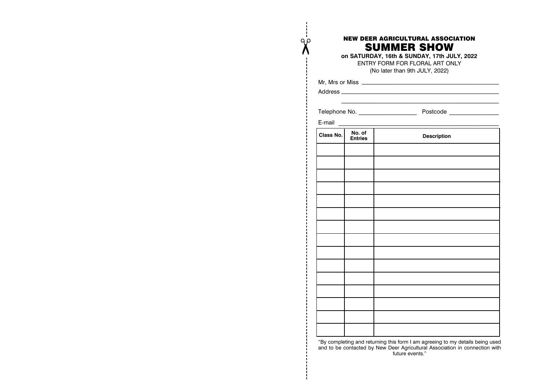# NEW DEER AGRICULTURAL ASSOCIATION SUMMER SHOW

**on SATURDAY, 16th & SUNDAY, 17th JULY, 2022** ENTRY FORM FOR FLORAL ART ONLY (No later than 9th JULY, 2022)

Address **Address Address Address Address Address Address Address Address Address Address Address Address Address Address Address Address Address Address Address Address Address Add** \_\_\_\_\_\_\_\_\_\_\_\_\_\_\_\_\_\_\_\_\_\_\_\_\_\_\_\_\_\_\_\_\_\_\_\_\_\_\_\_\_\_\_\_\_\_\_\_\_\_\_\_\_\_

Mr, Mrs or Miss \_\_\_\_\_\_\_\_\_\_\_\_\_\_\_\_\_\_\_\_\_\_\_\_\_\_\_\_\_\_\_\_\_\_\_\_\_\_\_\_\_\_\_\_\_\_\_

Q p

Telephone No. \_\_\_\_\_\_\_\_\_\_\_\_\_\_\_\_\_\_\_\_ Postcode \_\_\_\_\_\_\_\_\_\_\_\_\_\_\_\_\_

| E-mail    |                   |                    |
|-----------|-------------------|--------------------|
| Class No. | No. of<br>Entries | <b>Description</b> |
|           |                   |                    |
|           |                   |                    |
|           |                   |                    |
|           |                   |                    |
|           |                   |                    |
|           |                   |                    |
|           |                   |                    |
|           |                   |                    |
|           |                   |                    |
|           |                   |                    |
|           |                   |                    |
|           |                   |                    |
|           |                   |                    |
|           |                   |                    |
|           |                   |                    |
|           |                   |                    |

"By completing and returning this form I am agreeing to my details being used and to be contacted by New Deer Agricultural Association in connection with future events."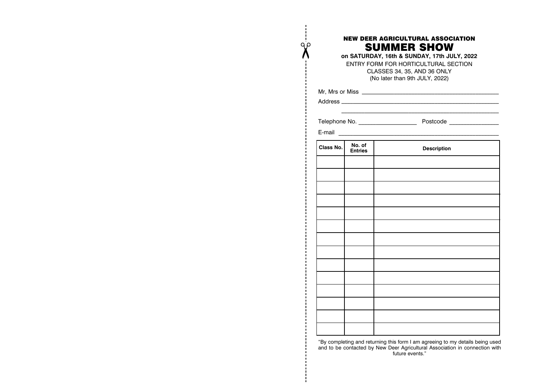# NEW DEER AGRICULTURAL ASSOCIATION SUMMER SHOW

**on SATURDAY, 16th & SUNDAY, 17th JULY, 2022** ENTRY FORM FOR HORTICULTURAL SECTION CLASSES 34, 35, AND 36 ONLY (No later than 9th JULY, 2022)

 $\overline{\phantom{a}}$  , which is a set of the set of the set of the set of the set of the set of the set of the set of the set of the set of the set of the set of the set of the set of the set of the set of the set of the set of th

Mr, Mrs or Miss \_\_\_\_\_\_\_\_\_\_\_\_\_\_\_\_\_\_\_\_\_\_\_\_\_\_\_\_\_\_\_\_\_\_\_\_\_\_\_\_\_\_\_\_\_\_\_

Address **Address Address Address Address Address Address Address Address Address Address Address Address Address Address Address Address Address Address Address Address Address Add** 

 $\chi$ 

Telephone No. \_\_\_\_\_\_\_\_\_\_\_\_\_\_\_\_\_\_\_\_ Postcode \_\_\_\_\_\_\_\_\_\_\_\_\_\_\_\_\_

| E-mail    |                          |                    |  |  |
|-----------|--------------------------|--------------------|--|--|
| Class No. | No. of<br><b>Entries</b> | <b>Description</b> |  |  |
|           |                          |                    |  |  |
|           |                          |                    |  |  |
|           |                          |                    |  |  |
|           |                          |                    |  |  |
|           |                          |                    |  |  |
|           |                          |                    |  |  |
|           |                          |                    |  |  |
|           |                          |                    |  |  |
|           |                          |                    |  |  |
|           |                          |                    |  |  |
|           |                          |                    |  |  |
|           |                          |                    |  |  |
|           |                          |                    |  |  |
|           |                          |                    |  |  |

"By completing and returning this form I am agreeing to my details being used and to be contacted by New Deer Agricultural Association in connection with future events."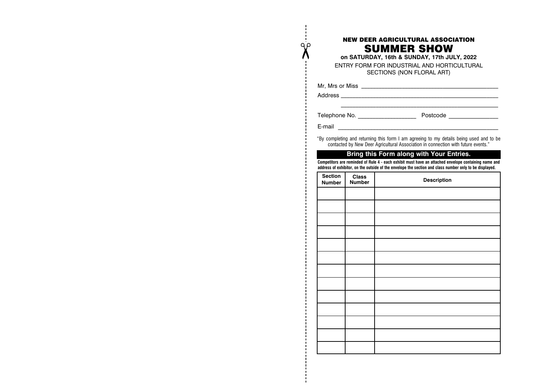# NEW DEER AGRICULTURAL ASSOCIATION SUMMER SHOW

**on SATURDAY, 16th & SUNDAY, 17th JULY, 2022** ENTRY FORM FOR INDUSTRIAL AND HORTICULTURAL SECTIONS (NON FLORAL ART)

 $\overline{\phantom{a}}$  ,  $\overline{\phantom{a}}$  ,  $\overline{\phantom{a}}$  ,  $\overline{\phantom{a}}$  ,  $\overline{\phantom{a}}$  ,  $\overline{\phantom{a}}$  ,  $\overline{\phantom{a}}$  ,  $\overline{\phantom{a}}$  ,  $\overline{\phantom{a}}$  ,  $\overline{\phantom{a}}$  ,  $\overline{\phantom{a}}$  ,  $\overline{\phantom{a}}$  ,  $\overline{\phantom{a}}$  ,  $\overline{\phantom{a}}$  ,  $\overline{\phantom{a}}$  ,  $\overline{\phantom{a}}$ 

Mr, Mrs or Miss \_\_\_\_\_\_\_\_\_\_\_\_\_\_\_\_\_\_\_\_\_\_\_\_\_\_\_\_\_\_\_\_\_\_\_\_\_\_\_\_\_\_\_\_\_\_\_

Address **Address Address Address Address Address Address Address Address Address Address Address Address Address Address Address Address Address Address Address Address Address Add** 

Q p

Telephone No. \_\_\_\_\_\_\_\_\_\_\_\_\_\_\_\_\_\_\_\_ Postcode \_\_\_\_\_\_\_\_\_\_\_\_\_\_\_\_\_

 $E$ -mail  $\Box$ 

"By completing and returning this form I am agreeing to my details being used and to be contacted by New Deer Agricultural Association in connection with future events."

# **Bring this Form along with Your Entries.**

**Competitors are reminded of Rule 4 - each exhibit must have an attached envelope containing name and address of exhibitor, on the outside of the envelope the section and class number only to be displayed.**

| Section<br><b>Number</b> | <b>Class</b><br><b>Number</b> | Description |
|--------------------------|-------------------------------|-------------|
|                          |                               |             |
|                          |                               |             |
|                          |                               |             |
|                          |                               |             |
|                          |                               |             |
|                          |                               |             |
|                          |                               |             |
|                          |                               |             |
|                          |                               |             |
|                          |                               |             |
|                          |                               |             |
|                          |                               |             |
|                          |                               |             |